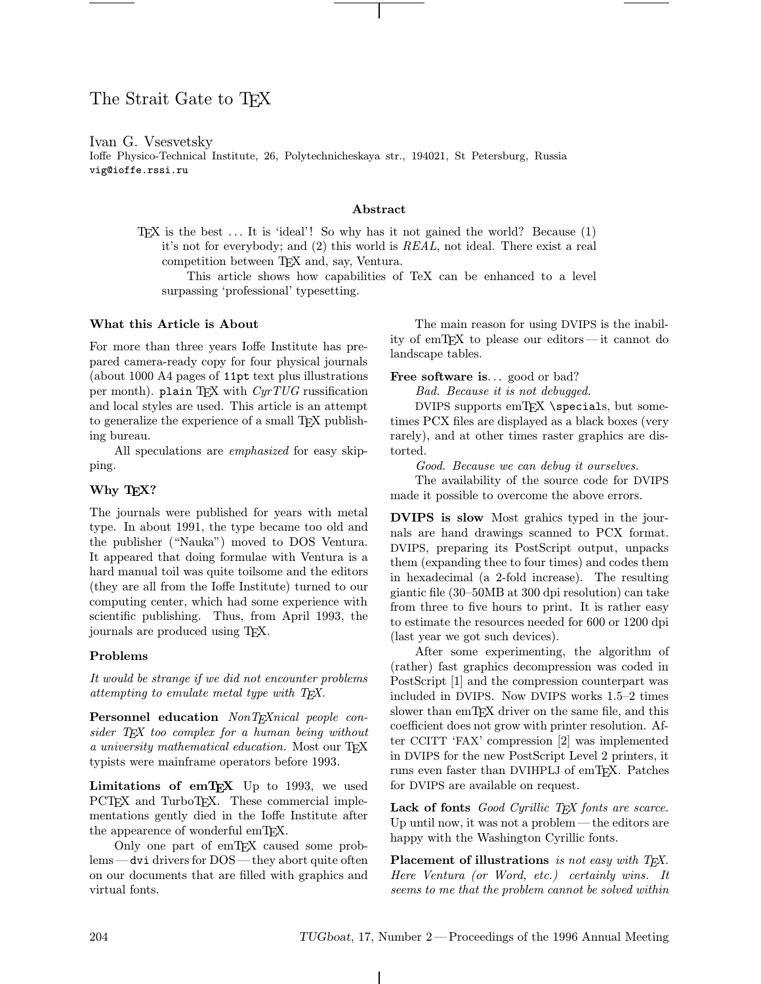# The Strait Gate to T<sub>F</sub>X

## Ivan G. Vsesvetsky

Ioffe Physico-Technical Institute, 26, Polytechnicheskaya str., 194021, St Petersburg, Russia vig@ioffe.rssi.ru

### Abstract

TEX is the best  $\dots$  It is 'ideal'! So why has it not gained the world? Because  $(1)$ it's not for everybody; and (2) this world is REAL, not ideal. There exist a real competition between TEX and, say, Ventura.

This article shows how capabilities of TeX can be enhanced to a level surpassing 'professional' typesetting.

### What this Article is About

For more than three years Ioffe Institute has prepared camera-ready copy for four physical journals (about 1000 A4 pages of 11pt text plus illustrations per month). plain TEX with  $CyrTUG$  russification and local styles are used. This article is an attempt to generalize the experience of a small T<sub>E</sub>X publishing bureau.

All speculations are emphasized for easy skipping.

## Why T<sub>E</sub>X?

The journals were published for years with metal type. In about 1991, the type became too old and the publisher ("Nauka") moved to DOS Ventura. It appeared that doing formulae with Ventura is a hard manual toil was quite toilsome and the editors (they are all from the Ioffe Institute) turned to our computing center, which had some experience with scientific publishing. Thus, from April 1993, the journals are produced using TEX.

## Problems

It would be strange if we did not encounter problems attempting to emulate metal type with TEX.

Personnel education NonTEXnical people consider TEX too complex for a human being without a university mathematical education. Most our TFX typists were mainframe operators before 1993.

Limitations of  $emT<sub>E</sub>X$  Up to 1993, we used PCT<sub>E</sub>X and TurboT<sub>E</sub>X. These commercial implementations gently died in the Ioffe Institute after the appearence of wonderful emTEX.

Only one part of emTEX caused some problems —dvi drivers for DOS—they abort quite often on our documents that are filled with graphics and virtual fonts.

The main reason for using DVIPS is the inability of emTEX to please our editors—it cannot do landscape tables.

Free software is... good or bad?

Bad. Because it is not debugged.

DVIPS supports  $emTrX \simeq$  specials, but sometimes PCX files are displayed as a black boxes (very rarely), and at other times raster graphics are distorted.

Good. Because we can debug it ourselves.

The availability of the source code for DVIPS made it possible to overcome the above errors.

DVIPS is slow Most grahics typed in the journals are hand drawings scanned to PCX format. DVIPS, preparing its PostScript output, unpacks them (expanding thee to four times) and codes them in hexadecimal (a 2-fold increase). The resulting giantic file (30–50MB at 300 dpi resolution) can take from three to five hours to print. It is rather easy to estimate the resources needed for 600 or 1200 dpi (last year we got such devices).

After some experimenting, the algorithm of (rather) fast graphics decompression was coded in PostScript [1] and the compression counterpart was included in DVIPS. Now DVIPS works 1.5–2 times slower than emT<sub>F</sub>X driver on the same file, and this coefficient does not grow with printer resolution. After CCITT 'FAX' compression [2] was implemented in DVIPS for the new PostScript Level 2 printers, it runs even faster than DVIHPLJ of emTFX. Patches for DVIPS are available on request.

Lack of fonts  $Good$  Cyrillic T<sub>E</sub>X fonts are scarce. Up until now, it was not a problem—the editors are happy with the Washington Cyrillic fonts.

Placement of illustrations is not easy with  $T_{E}X$ . Here Ventura (or Word, etc.) certainly wins. It seems to me that the problem cannot be solved within